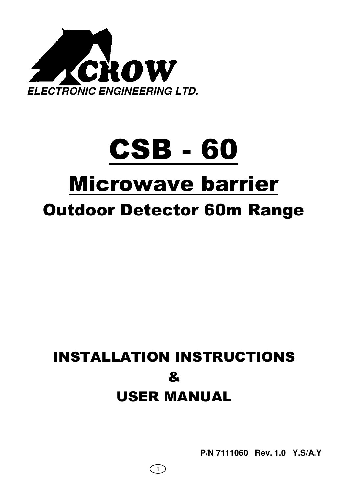

# CSB - 60 Microwave barrier Outdoor Detector 60m Range

## INSTALLATION INSTRUCTIONS & USER MANUAL

 $\left(1\right)$ 

**P/N 7111060 Rev. 1.0 Y.S/A.Y**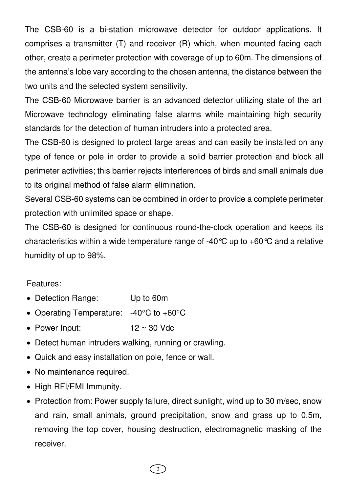The CSB-60 is a bi-station microwave detector for outdoor applications. It comprises a transmitter (T) and receiver (R) which, when mounted facing each other, create a perimeter protection with coverage of up to 60m. The dimensions of the antenna's lobe vary according to the chosen antenna, the distance between the two units and the selected system sensitivity.

The CSB-60 Microwave barrier is an advanced detector utilizing state of the art Microwave technology eliminating false alarms while maintaining high security standards for the detection of human intruders into a protected area.

The CSB-60 is designed to protect large areas and can easily be installed on any type of fence or pole in order to provide a solid barrier protection and block all perimeter activities; this barrier rejects interferences of birds and small animals due to its original method of false alarm elimination.

Several CSB-60 systems can be combined in order to provide a complete perimeter protection with unlimited space or shape.

The CSB-60 is designed for continuous round-the-clock operation and keeps its characteristics within a wide temperature range of -40°C up to +60°C and a relative humidity of up to 98%.

#### Features:

- Detection Range: Up to 60m
- Operating Temperature: -40°C to +60°C
- Power Input:  $12 \sim 30$  Vdc
- Detect human intruders walking, running or crawling.
- Quick and easy installation on pole, fence or wall.
- No maintenance required.
- High RFI/EMI Immunity.
- Protection from: Power supply failure, direct sunlight, wind up to 30 m/sec, snow and rain, small animals, ground precipitation, snow and grass up to 0.5m, removing the top cover, housing destruction, electromagnetic masking of the receiver.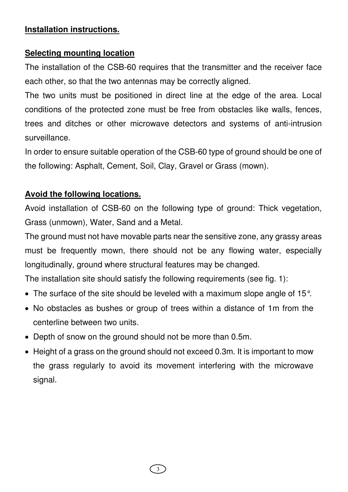#### **Installation instructions.**

## **Selecting mounting location**

The installation of the CSB-60 requires that the transmitter and the receiver face each other, so that the two antennas may be correctly aligned.

The two units must be positioned in direct line at the edge of the area. Local conditions of the protected zone must be free from obstacles like walls, fences, trees and ditches or other microwave detectors and systems of anti-intrusion surveillance.

In order to ensure suitable operation of the CSB-60 type of ground should be one of the following: Asphalt, Cement, Soil, Clay, Gravel or Grass (mown).

## **Avoid the following locations.**

Avoid installation of CSB-60 on the following type of ground: Thick vegetation, Grass (unmown), Water, Sand and a Metal.

The ground must not have movable parts near the sensitive zone, any grassy areas must be frequently mown, there should not be any flowing water, especially longitudinally, ground where structural features may be changed.

The installation site should satisfy the following requirements (see fig. 1):

- The surface of the site should be leveled with a maximum slope angle of 15°.
- No obstacles as bushes or group of trees within a distance of 1m from the centerline between two units.
- Depth of snow on the ground should not be more than 0.5m.
- Height of a grass on the ground should not exceed 0.3m. It is important to mow the grass regularly to avoid its movement interfering with the microwave signal.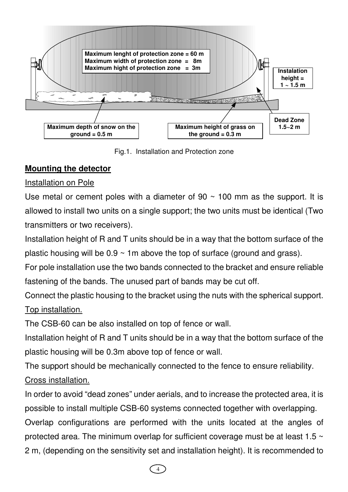

Fig.1. Installation and Protection zone

## **Mounting the detector**

## Installation on Pole

Use metal or cement poles with a diameter of  $90 \sim 100$  mm as the support. It is allowed to install two units on a single support; the two units must be identical (Two transmitters or two receivers).

Installation height of R and T units should be in a way that the bottom surface of the plastic housing will be  $0.9 \sim 1$ m above the top of surface (ground and grass).

For pole installation use the two bands connected to the bracket and ensure reliable fastening of the bands. The unused part of bands may be cut off.

Connect the plastic housing to the bracket using the nuts with the spherical support. Top installation.

The CSB-60 can be also installed on top of fence or wall.

Installation height of R and T units should be in a way that the bottom surface of the plastic housing will be 0.3m above top of fence or wall.

The support should be mechanically connected to the fence to ensure reliability. Cross installation.

In order to avoid "dead zones" under aerials, and to increase the protected area, it is possible to install multiple CSB-60 systems connected together with overlapping.

Overlap configurations are performed with the units located at the angles of protected area. The minimum overlap for sufficient coverage must be at least 1.5 ~ 2 m, (depending on the sensitivity set and installation height). It is recommended to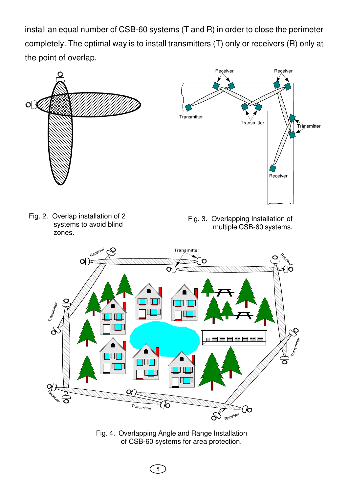install an equal number of CSB-60 systems (T and R) in order to close the perimeter completely. The optimal way is to install transmitters (T) only or receivers (R) only at the point of overlap.



Fig. 4. Overlapping Angle and Range Installation of CSB-60 systems for area protection.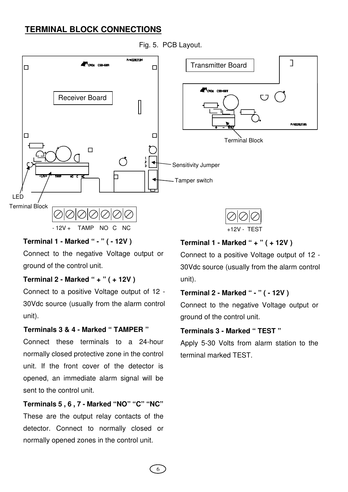#### **TERMINAL BLOCK CONNECTIONS**



#### Fig. 5. PCB Layout.

#### **Terminal 1 - Marked " - " ( - 12V )**

Connect to the negative Voltage output or ground of the control unit.

#### **Terminal 2 - Marked " + " ( + 12V )**

Connect to a positive Voltage output of 12 - 30Vdc source (usually from the alarm control unit).

#### **Terminals 3 & 4 - Marked " TAMPER "**

Connect these terminals to a 24-hour normally closed protective zone in the control unit. If the front cover of the detector is opened, an immediate alarm signal will be sent to the control unit.

## **Terminals 5 , 6 , 7 - Marked "NO" "C" "NC"**

These are the output relay contacts of the detector. Connect to normally closed or normally opened zones in the control unit.

#### **Terminal 1 - Marked " + " ( + 12V )**

Connect to a positive Voltage output of 12 - 30Vdc source (usually from the alarm control unit).

#### **Terminal 2 - Marked " - " ( - 12V )**

Connect to the negative Voltage output or ground of the control unit.

#### **Terminals 3 - Marked " TEST "**

Apply 5-30 Volts from alarm station to the terminal marked TEST.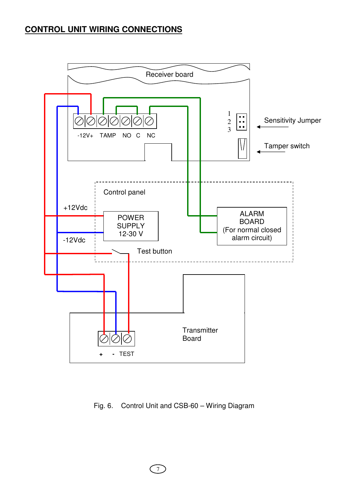## **CONTROL UNIT WIRING CONNECTIONS**



#### Fig. 6. Control Unit and CSB-60 – Wiring Diagram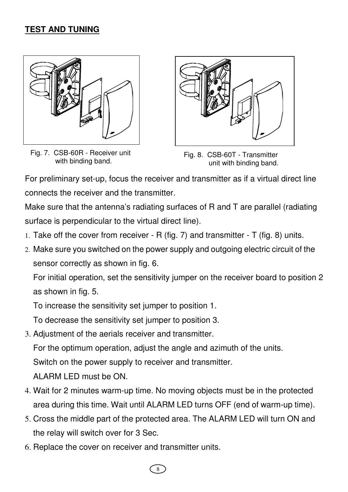## **TEST AND TUNING**



Fig. 7. CSB-60R - Receiver unit with binding band.



Fig. 8. CSB-60T - Transmitter unit with binding band.

For preliminary set-up, focus the receiver and transmitter as if a virtual direct line connects the receiver and the transmitter.

Make sure that the antenna's radiating surfaces of R and T are parallel (radiating surface is perpendicular to the virtual direct line).

- 1. Take off the cover from receiver R (fig. 7) and transmitter T (fig. 8) units.
- 2. Make sure you switched on the power supply and outgoing electric circuit of the sensor correctly as shown in fig. 6.

For initial operation, set the sensitivity jumper on the receiver board to position 2 as shown in fig. 5.

To increase the sensitivity set jumper to position 1.

To decrease the sensitivity set jumper to position 3.

3. Adjustment of the aerials receiver and transmitter. For the optimum operation, adjust the angle and azimuth of the units.

Switch on the power supply to receiver and transmitter.

ALARM LED must be ON.

- 4. Wait for 2 minutes warm-up time. No moving objects must be in the protected area during this time. Wait until ALARM LED turns OFF (end of warm-up time).
- 5. Cross the middle part of the protected area. The ALARM LED will turn ON and the relay will switch over for 3 Sec.
- 6. Replace the cover on receiver and transmitter units.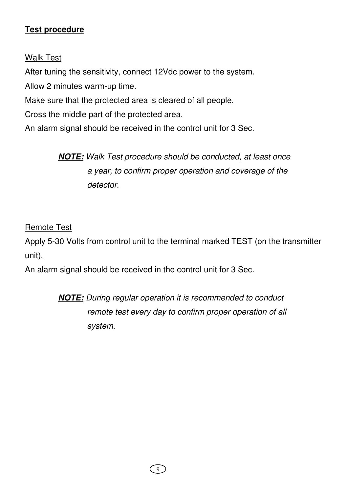## **Test procedure**

## Walk Test

After tuning the sensitivity, connect 12Vdc power to the system.

Allow 2 minutes warm-up time.

Make sure that the protected area is cleared of all people.

Cross the middle part of the protected area.

An alarm signal should be received in the control unit for 3 Sec.

**NOTE:** Walk Test procedure should be conducted, at least once a year, to confirm proper operation and coverage of the detector.

## Remote Test

Apply 5-30 Volts from control unit to the terminal marked TEST (on the transmitter unit).

An alarm signal should be received in the control unit for 3 Sec.

**NOTE:** During regular operation it is recommended to conduct remote test every day to confirm proper operation of all system.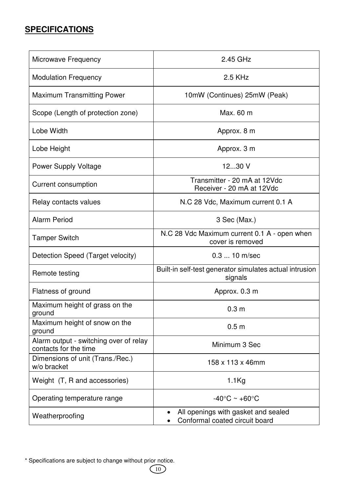## **SPECIFICATIONS**

| Microwave Frequency                                             | 2.45 GHz                                                              |
|-----------------------------------------------------------------|-----------------------------------------------------------------------|
| <b>Modulation Frequency</b>                                     | 2.5 KHz                                                               |
| <b>Maximum Transmitting Power</b>                               | 10mW (Continues) 25mW (Peak)                                          |
| Scope (Length of protection zone)                               | Max. 60 m                                                             |
| Lobe Width                                                      | Approx. 8 m                                                           |
| Lobe Height                                                     | Approx. 3 m                                                           |
| <b>Power Supply Voltage</b>                                     | 1230 V                                                                |
| <b>Current consumption</b>                                      | Transmitter - 20 mA at 12Vdc<br>Receiver - 20 mA at 12Vdc             |
| Relay contacts values                                           | N.C 28 Vdc, Maximum current 0.1 A                                     |
| <b>Alarm Period</b>                                             | 3 Sec (Max.)                                                          |
| <b>Tamper Switch</b>                                            | N.C 28 Vdc Maximum current 0.1 A - open when<br>cover is removed      |
| Detection Speed (Target velocity)                               | $0.3$ 10 m/sec                                                        |
| Remote testing                                                  | Built-in self-test generator simulates actual intrusion<br>signals    |
| Flatness of ground                                              | Approx. 0.3 m                                                         |
| Maximum height of grass on the<br>ground                        | 0.3 <sub>m</sub>                                                      |
| Maximum height of snow on the<br>ground                         | 0.5 <sub>m</sub>                                                      |
| Alarm output - switching over of relay<br>contacts for the time | Minimum 3 Sec                                                         |
| Dimensions of unit (Trans./Rec.)<br>w/o bracket                 | 158 x 113 x 46mm                                                      |
| Weight (T, R and accessories)                                   | $1.1$ Kg                                                              |
| Operating temperature range                                     | $-40^{\circ}$ C ~ $+60^{\circ}$ C                                     |
| Weatherproofing                                                 | All openings with gasket and sealed<br>Conformal coated circuit board |

<sup>\*</sup> Specifications are subject to change without prior notice.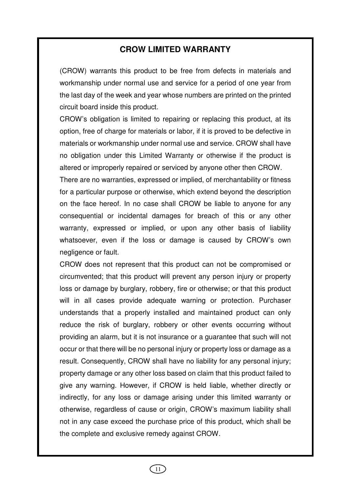#### **CROW LIMITED WARRANTY**

(CROW) warrants this product to be free from defects in materials and workmanship under normal use and service for a period of one year from the last day of the week and year whose numbers are printed on the printed circuit board inside this product.

CROW's obligation is limited to repairing or replacing this product, at its option, free of charge for materials or labor, if it is proved to be defective in materials or workmanship under normal use and service. CROW shall have no obligation under this Limited Warranty or otherwise if the product is altered or improperly repaired or serviced by anyone other then CROW. There are no warranties, expressed or implied, of merchantability or fitness

for a particular purpose or otherwise, which extend beyond the description on the face hereof. In no case shall CROW be liable to anyone for any consequential or incidental damages for breach of this or any other warranty, expressed or implied, or upon any other basis of liability whatsoever, even if the loss or damage is caused by CROW's own negligence or fault.

CROW does not represent that this product can not be compromised or circumvented; that this product will prevent any person injury or property loss or damage by burglary, robbery, fire or otherwise; or that this product will in all cases provide adequate warning or protection. Purchaser understands that a properly installed and maintained product can only reduce the risk of burglary, robbery or other events occurring without providing an alarm, but it is not insurance or a guarantee that such will not occur or that there will be no personal injury or property loss or damage as a result. Consequently, CROW shall have no liability for any personal injury; property damage or any other loss based on claim that this product failed to give any warning. However, if CROW is held liable, whether directly or indirectly, for any loss or damage arising under this limited warranty or otherwise, regardless of cause or origin, CROW's maximum liability shall not in any case exceed the purchase price of this product, which shall be the complete and exclusive remedy against CROW.